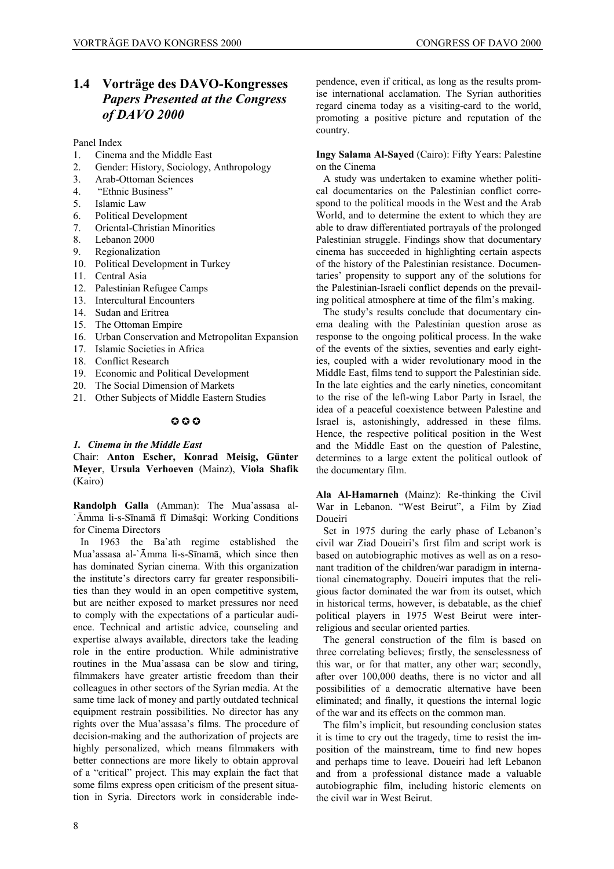## **1.4 Vorträge des DAVO-Kongresses**  *Papers Presented at the Congress of DAVO 2000*

Panel Index

- 1. Cinema and the Middle East
- 2. Gender: History, Sociology, Anthropology
- 3. Arab-Ottoman Sciences
- 4. "Ethnic Business"
- 5. Islamic Law
- 6. Political Development
- 7. Oriental-Christian Minorities
- 8. Lebanon 2000
- 9. Regionalization
- 10. Political Development in Turkey
- 11. Central Asia
- 12. Palestinian Refugee Camps
- 13. Intercultural Encounters
- 14. Sudan and Eritrea
- 15. The Ottoman Empire
- 16. Urban Conservation and Metropolitan Expansion
- 17. Islamic Societies in Africa
- 18. Conflict Research
- 19. Economic and Political Development
- 20. The Social Dimension of Markets
- 21. Other Subjects of Middle Eastern Studies

## $0.00$

## *1. Cinema in the Middle East*

Chair: **Anton Escher, Konrad Meisig, Günter Meyer**, **Ursula Verhoeven** (Mainz), **Viola Shafik** (Kairo)

**Randolph Galla** (Amman): The Mua'assasa al- `Āmma li-s-Sīnamā fī Dimašqi: Working Conditions for Cinema Directors

In 1963 the Ba`ath regime established the Mua'assasa al-`Āmma li-s-Sīnamā, which since then has dominated Syrian cinema. With this organization the institute's directors carry far greater responsibilities than they would in an open competitive system, but are neither exposed to market pressures nor need to comply with the expectations of a particular audience. Technical and artistic advice, counseling and expertise always available, directors take the leading role in the entire production. While administrative routines in the Mua'assasa can be slow and tiring, filmmakers have greater artistic freedom than their colleagues in other sectors of the Syrian media. At the same time lack of money and partly outdated technical equipment restrain possibilities. No director has any rights over the Mua'assasa's films. The procedure of decision-making and the authorization of projects are highly personalized, which means filmmakers with better connections are more likely to obtain approval of a "critical" project. This may explain the fact that some films express open criticism of the present situation in Syria. Directors work in considerable independence, even if critical, as long as the results promise international acclamation. The Syrian authorities regard cinema today as a visiting-card to the world, promoting a positive picture and reputation of the country.

**Ingy Salama Al-Sayed** (Cairo): Fifty Years: Palestine on the Cinema

A study was undertaken to examine whether political documentaries on the Palestinian conflict correspond to the political moods in the West and the Arab World, and to determine the extent to which they are able to draw differentiated portrayals of the prolonged Palestinian struggle. Findings show that documentary cinema has succeeded in highlighting certain aspects of the history of the Palestinian resistance. Documentaries' propensity to support any of the solutions for the Palestinian-Israeli conflict depends on the prevailing political atmosphere at time of the film's making.

The study's results conclude that documentary cinema dealing with the Palestinian question arose as response to the ongoing political process. In the wake of the events of the sixties, seventies and early eighties, coupled with a wider revolutionary mood in the Middle East, films tend to support the Palestinian side. In the late eighties and the early nineties, concomitant to the rise of the left-wing Labor Party in Israel, the idea of a peaceful coexistence between Palestine and Israel is, astonishingly, addressed in these films. Hence, the respective political position in the West and the Middle East on the question of Palestine, determines to a large extent the political outlook of the documentary film.

**Ala Al-Hamarneh** (Mainz): Re-thinking the Civil War in Lebanon. "West Beirut", a Film by Ziad Doueiri

Set in 1975 during the early phase of Lebanon's civil war Ziad Doueiri's first film and script work is based on autobiographic motives as well as on a resonant tradition of the children/war paradigm in international cinematography. Doueiri imputes that the religious factor dominated the war from its outset, which in historical terms, however, is debatable, as the chief political players in 1975 West Beirut were interreligious and secular oriented parties.

The general construction of the film is based on three correlating believes; firstly, the senselessness of this war, or for that matter, any other war; secondly, after over 100,000 deaths, there is no victor and all possibilities of a democratic alternative have been eliminated; and finally, it questions the internal logic of the war and its effects on the common man.

The film's implicit, but resounding conclusion states it is time to cry out the tragedy, time to resist the imposition of the mainstream, time to find new hopes and perhaps time to leave. Doueiri had left Lebanon and from a professional distance made a valuable autobiographic film, including historic elements on the civil war in West Beirut.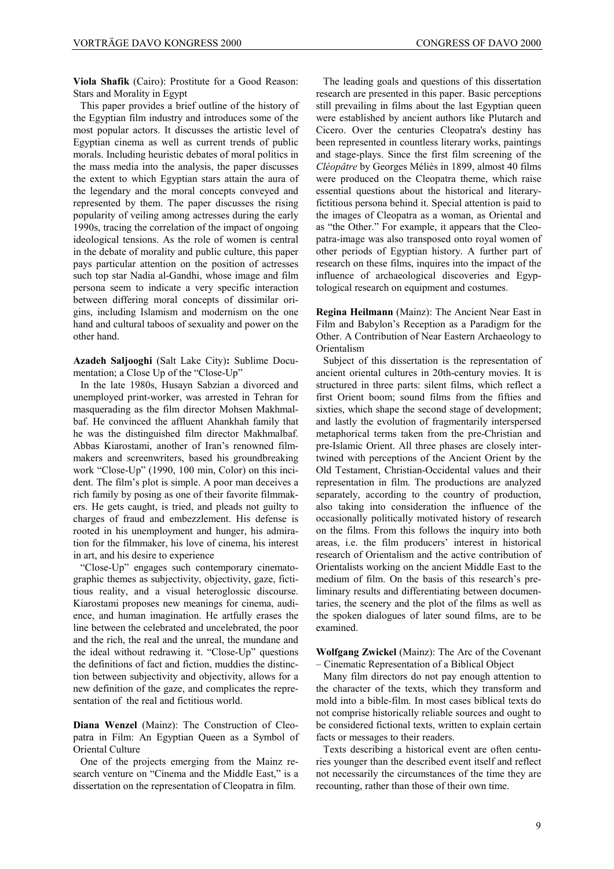**Viola Shafik** (Cairo): Prostitute for a Good Reason: Stars and Morality in Egypt

This paper provides a brief outline of the history of the Egyptian film industry and introduces some of the most popular actors. It discusses the artistic level of Egyptian cinema as well as current trends of public morals. Including heuristic debates of moral politics in the mass media into the analysis, the paper discusses the extent to which Egyptian stars attain the aura of the legendary and the moral concepts conveyed and represented by them. The paper discusses the rising popularity of veiling among actresses during the early 1990s, tracing the correlation of the impact of ongoing ideological tensions. As the role of women is central in the debate of morality and public culture, this paper pays particular attention on the position of actresses such top star Nadia al-Gandhi, whose image and film persona seem to indicate a very specific interaction between differing moral concepts of dissimilar origins, including Islamism and modernism on the one hand and cultural taboos of sexuality and power on the other hand.

**Azadeh Saljooghi** (Salt Lake City)**:** Sublime Documentation; a Close Up of the "Close-Up"

In the late 1980s, Husayn Sabzian a divorced and unemployed print-worker, was arrested in Tehran for masquerading as the film director Mohsen Makhmalbaf. He convinced the affluent Ahankhah family that he was the distinguished film director Makhmalbaf. Abbas Kiarostami, another of Iran's renowned filmmakers and screenwriters, based his groundbreaking work "Close-Up" (1990, 100 min, Color) on this incident. The film's plot is simple. A poor man deceives a rich family by posing as one of their favorite filmmakers. He gets caught, is tried, and pleads not guilty to charges of fraud and embezzlement. His defense is rooted in his unemployment and hunger, his admiration for the filmmaker, his love of cinema, his interest in art, and his desire to experience

"Close-Up" engages such contemporary cinematographic themes as subjectivity, objectivity, gaze, fictitious reality, and a visual heteroglossic discourse. Kiarostami proposes new meanings for cinema, audience, and human imagination. He artfully erases the line between the celebrated and uncelebrated, the poor and the rich, the real and the unreal, the mundane and the ideal without redrawing it. "Close-Up" questions the definitions of fact and fiction, muddies the distinction between subjectivity and objectivity, allows for a new definition of the gaze, and complicates the representation of the real and fictitious world.

**Diana Wenzel** (Mainz): The Construction of Cleopatra in Film: An Egyptian Queen as a Symbol of Oriental Culture

One of the projects emerging from the Mainz research venture on "Cinema and the Middle East," is a dissertation on the representation of Cleopatra in film.

The leading goals and questions of this dissertation research are presented in this paper. Basic perceptions still prevailing in films about the last Egyptian queen were established by ancient authors like Plutarch and Cicero. Over the centuries Cleopatra's destiny has been represented in countless literary works, paintings and stage-plays. Since the first film screening of the *Cléopâtre* by Georges Méliès in 1899, almost 40 films were produced on the Cleopatra theme, which raise essential questions about the historical and literaryfictitious persona behind it. Special attention is paid to the images of Cleopatra as a woman, as Oriental and as "the Other." For example, it appears that the Cleopatra-image was also transposed onto royal women of other periods of Egyptian history. A further part of research on these films, inquires into the impact of the influence of archaeological discoveries and Egyptological research on equipment and costumes.

**Regina Heilmann** (Mainz): The Ancient Near East in Film and Babylon's Reception as a Paradigm for the Other. A Contribution of Near Eastern Archaeology to Orientalism

Subject of this dissertation is the representation of ancient oriental cultures in 20th-century movies. It is structured in three parts: silent films, which reflect a first Orient boom; sound films from the fifties and sixties, which shape the second stage of development; and lastly the evolution of fragmentarily interspersed metaphorical terms taken from the pre-Christian and pre-Islamic Orient. All three phases are closely intertwined with perceptions of the Ancient Orient by the Old Testament, Christian-Occidental values and their representation in film. The productions are analyzed separately, according to the country of production, also taking into consideration the influence of the occasionally politically motivated history of research on the films. From this follows the inquiry into both areas, i.e. the film producers' interest in historical research of Orientalism and the active contribution of Orientalists working on the ancient Middle East to the medium of film. On the basis of this research's preliminary results and differentiating between documentaries, the scenery and the plot of the films as well as the spoken dialogues of later sound films, are to be examined.

**Wolfgang Zwickel** (Mainz): The Arc of the Covenant – Cinematic Representation of a Biblical Object

Many film directors do not pay enough attention to the character of the texts, which they transform and mold into a bible-film. In most cases biblical texts do not comprise historically reliable sources and ought to be considered fictional texts, written to explain certain facts or messages to their readers.

Texts describing a historical event are often centuries younger than the described event itself and reflect not necessarily the circumstances of the time they are recounting, rather than those of their own time.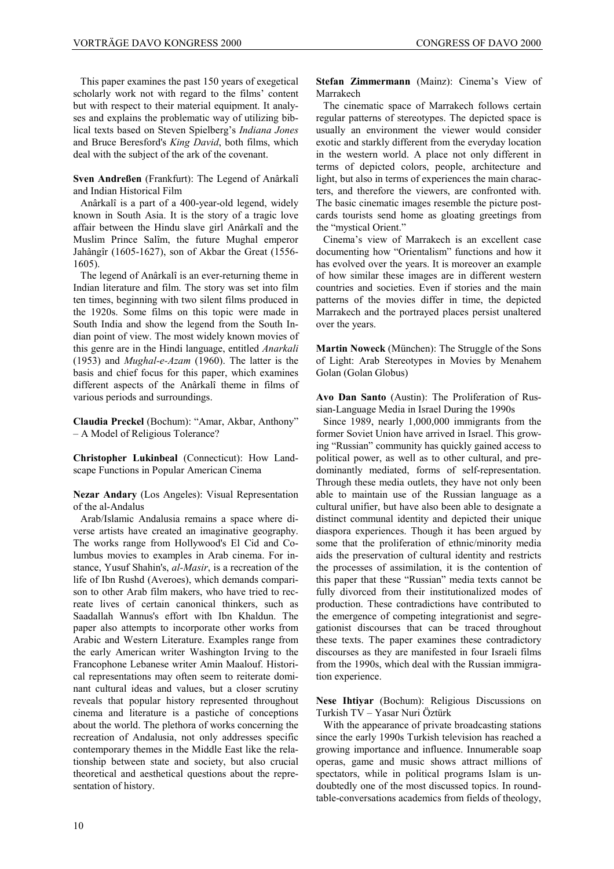This paper examines the past 150 years of exegetical scholarly work not with regard to the films' content but with respect to their material equipment. It analyses and explains the problematic way of utilizing biblical texts based on Steven Spielberg's *Indiana Jones* and Bruce Beresford's *King David*, both films, which deal with the subject of the ark of the covenant.

**Sven Andreßen** (Frankfurt): The Legend of Anârkalî and Indian Historical Film

Anârkalî is a part of a 400-year-old legend, widely known in South Asia. It is the story of a tragic love affair between the Hindu slave girl Anârkalî and the Muslim Prince Salîm, the future Mughal emperor Jahângîr (1605-1627), son of Akbar the Great (1556- 1605).

The legend of Anârkalî is an ever-returning theme in Indian literature and film. The story was set into film ten times, beginning with two silent films produced in the 1920s. Some films on this topic were made in South India and show the legend from the South Indian point of view. The most widely known movies of this genre are in the Hindi language, entitled *Anarkali* (1953) and *Mughal-e-Azam* (1960). The latter is the basis and chief focus for this paper, which examines different aspects of the Anârkalî theme in films of various periods and surroundings.

**Claudia Preckel** (Bochum): "Amar, Akbar, Anthony" – A Model of Religious Tolerance?

**Christopher Lukinbeal** (Connecticut): How Landscape Functions in Popular American Cinema

**Nezar Andary** (Los Angeles): Visual Representation of the al-Andalus

Arab/Islamic Andalusia remains a space where diverse artists have created an imaginative geography. The works range from Hollywood's El Cid and Columbus movies to examples in Arab cinema. For instance, Yusuf Shahin's, *al-Masir*, is a recreation of the life of Ibn Rushd (Averoes), which demands comparison to other Arab film makers, who have tried to recreate lives of certain canonical thinkers, such as Saadallah Wannus's effort with Ibn Khaldun. The paper also attempts to incorporate other works from Arabic and Western Literature. Examples range from the early American writer Washington Irving to the Francophone Lebanese writer Amin Maalouf. Historical representations may often seem to reiterate dominant cultural ideas and values, but a closer scrutiny reveals that popular history represented throughout cinema and literature is a pastiche of conceptions about the world. The plethora of works concerning the recreation of Andalusia, not only addresses specific contemporary themes in the Middle East like the relationship between state and society, but also crucial theoretical and aesthetical questions about the representation of history.

**Stefan Zimmermann** (Mainz): Cinema's View of Marrakech

The cinematic space of Marrakech follows certain regular patterns of stereotypes. The depicted space is usually an environment the viewer would consider exotic and starkly different from the everyday location in the western world. A place not only different in terms of depicted colors, people, architecture and light, but also in terms of experiences the main characters, and therefore the viewers, are confronted with. The basic cinematic images resemble the picture postcards tourists send home as gloating greetings from the "mystical Orient."

Cinema's view of Marrakech is an excellent case documenting how "Orientalism" functions and how it has evolved over the years. It is moreover an example of how similar these images are in different western countries and societies. Even if stories and the main patterns of the movies differ in time, the depicted Marrakech and the portrayed places persist unaltered over the years.

**Martin Noweck** (München): The Struggle of the Sons of Light: Arab Stereotypes in Movies by Menahem Golan (Golan Globus)

**Avo Dan Santo** (Austin): The Proliferation of Russian-Language Media in Israel During the 1990s

Since 1989, nearly 1,000,000 immigrants from the former Soviet Union have arrived in Israel. This growing "Russian" community has quickly gained access to political power, as well as to other cultural, and predominantly mediated, forms of self-representation. Through these media outlets, they have not only been able to maintain use of the Russian language as a cultural unifier, but have also been able to designate a distinct communal identity and depicted their unique diaspora experiences. Though it has been argued by some that the proliferation of ethnic/minority media aids the preservation of cultural identity and restricts the processes of assimilation, it is the contention of this paper that these "Russian" media texts cannot be fully divorced from their institutionalized modes of production. These contradictions have contributed to the emergence of competing integrationist and segregationist discourses that can be traced throughout these texts. The paper examines these contradictory discourses as they are manifested in four Israeli films from the 1990s, which deal with the Russian immigration experience.

**Nese Ihtiyar** (Bochum): Religious Discussions on Turkish TV – Yasar Nuri Öztürk

With the appearance of private broadcasting stations since the early 1990s Turkish television has reached a growing importance and influence. Innumerable soap operas, game and music shows attract millions of spectators, while in political programs Islam is undoubtedly one of the most discussed topics. In roundtable-conversations academics from fields of theology,